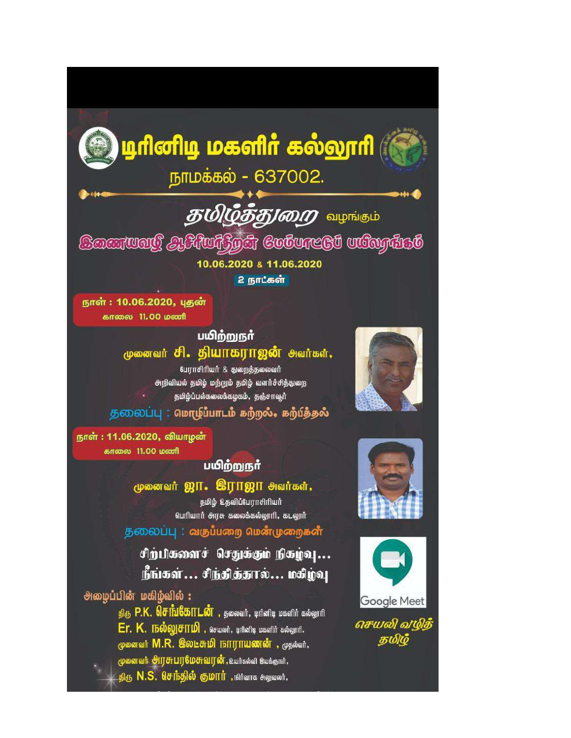

# *தமிழ்த்துறை* வழங்கும்

Saarway Aflwifyd Coburest wfoydso 10.06.2020 & 11.06.2020

2 நாட்கள்

நாள் : 10.06.2020, புதன் காலை 11.00 மணி

#### பயிற்றுநா் முனைவர் சி. நியாகராஜன் அவர்கள்,

6பராசிரியர் & துறைத்தலைவர் அறிவியல் தமிழ் மந்றும் தமிழ் வளர்ச்சித்துறை தமிழ்ப்பல்கலைக்கழகம், தஞ்சாவூர்

தலைப்பு: மொழிப்பாடம் கற்றல், கற்பத்தல்

நாள் : 11.06.2020, வியாழன் காலை 11.00 மணி

#### பயிற்றுநர்

முளைவர் ஜா. இராஜா அவர்கள், தமிழ் உதவிப்பேராசிரியர் பெரியார் அரசு கலைக்கல்லூரி, கடலூர்

தலைப்பு: வகுப்பறை மென்முறைகள்

சிற்பிகளைச் செதுக்கும் நிகழ்வு... நீங்கள் ... சிந்தித்தால்... மகிழ்வு

#### அழைப்பின் மகிழ்வில் :

திரு P.K. செர்ப்8காடன் , தலைவர், டிரினிடி மகளிர் கல்லூரி Er. K. IBல்லுசாமி, கயலர், டிரினிடி மகளிர் கல்லூரி. முனைவர் M.R. இலடசுமி நாராயணன் , முதல்வர், முனைவர் அரசுபரமேசுவரன், உயர்கல்வி கியக்குமர், திரு N.S. செந்தில் குமார் , நிர்வாக சுலுவலர்,







எசயலி வழித் கமிம்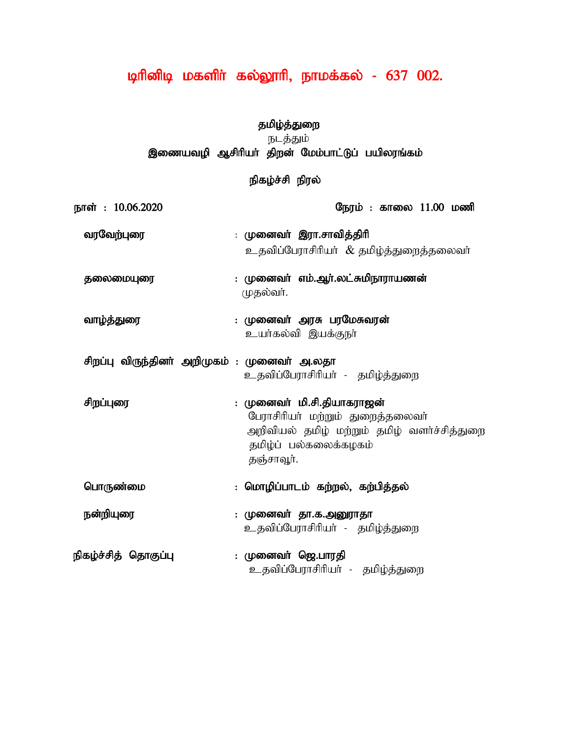#### தமிழ்த்துறை நடத்தும் இணையவழி ஆசிரியா் திறன் மேம்பாட்டுப் பயிலரங்கம்

| நாள் : 10.06.2020                            | நேரம் : காலை 11.00 மணி                                                                                                                               |
|----------------------------------------------|------------------------------------------------------------------------------------------------------------------------------------------------------|
| வரவேற்புரை                                   | : முனைவா் இரா.சாவித்திாி<br>உதவிப்பேராசிரியர் $\,\,\&\,\,$ தமிழ்த்துறைத்தலைவர்                                                                       |
| தலைமையுரை                                    | : முனைவா் எம்.ஆா்.லட்சுமிநாராயணன்<br>முதல்வர்.                                                                                                       |
| வாழ்த்துரை                                   | : முனைவா் அரசு பரமேசுவரன்<br>உயர்கல்வி இயக்குநர்                                                                                                     |
| சிறப்பு விருந்தினா் அறிமுகம் : முனைவா் அ.லதா | உதவிப்பேராசிரியா் - தமிழ்த்துறை                                                                                                                      |
| சிறப்புரை                                    | : முனைவா் மி.சி.தியாகராஜன்<br>பேராசிரியா் மற்றும் துறைத்தலைவா்<br>அறிவியல் தமிழ் மற்றும் தமிழ் வளர்ச்சித்துறை<br>தமிழ்ப் பல்கலைக்கழகம்<br>தஞ்சாவூர். |
| பொருண்மை                                     | : மொழிப்பாடம் கற்றல், கற்பித்தல்                                                                                                                     |
| நன்றியுரை                                    | : முனைவா் தா.க.அனுராதா<br>உதவிப்பேராசிரியா் - தமிழ்த்துறை                                                                                            |
| நிகழ்ச்சித் தொகுப்பு                         | : முனைவா் ஜெ.பாரதி<br>உதவிப்பேராசிரியா் - தமிழ்த்துறை                                                                                                |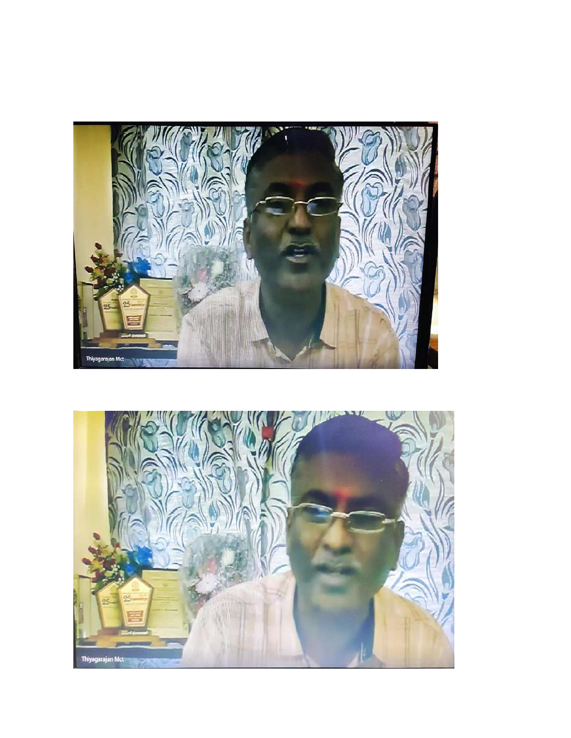

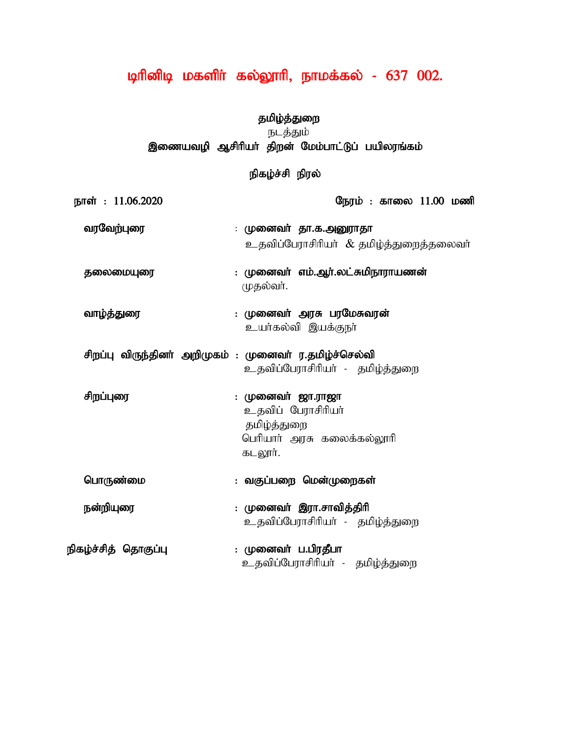#### தமிழ்த்துறை நடத்தும் இணையவழி ஆசிரியா் திறன் மேம்பாட்டுப் பயிலரங்கம்

| நாள் : 11.06.2020                                      | நேரம் : காலை 11.00 மணி                                                                          |
|--------------------------------------------------------|-------------------------------------------------------------------------------------------------|
| வரவேற்புரை                                             | : முனைவா் தா.க.அனுராதா<br>உதவிப்பேராசிரியர் & தமிழ்த்துறைத்தலைவர்                               |
| தலைமையுரை                                              | : முனைவா் எம்.ஆா்.லட்சுமிநாராயணன்<br>முதல்வர்.                                                  |
| வாழ்த்துரை                                             | : முனைவர் அரசு பரமேசுவரன்<br>உயர்கல்வி இயக்குநர்                                                |
| சிறப்பு விருந்தினா் அறிமுகம் : முனைவா் ர.தமிழ்ச்செல்வி | உதவிப்பேராசிரியா் - தமிழ்த்துறை                                                                 |
| சிறப்புரை                                              | : முனைவா் ஜா.ராஜா<br>உதவிப் பேராசிரியர்<br>தமிழ்த்துறை<br>பெரியார் அரசு கலைக்கல்லூரி<br>கடலூர். |
| பொருண்மை                                               | : வகுப்பறை மென்முறைகள்                                                                          |
| நன்றியுரை                                              | : முனைவா் இரா.சாவித்திாி<br>உதவிப்பேராசிரியா் - தமிழ்த்துறை                                     |
| நிகழ்ச்சித் தொகுப்பு                                   | : முனைவா் ப.பிரதீபா<br>உதவிப்பேராசிரியா் - தமிழ்த்துறை                                          |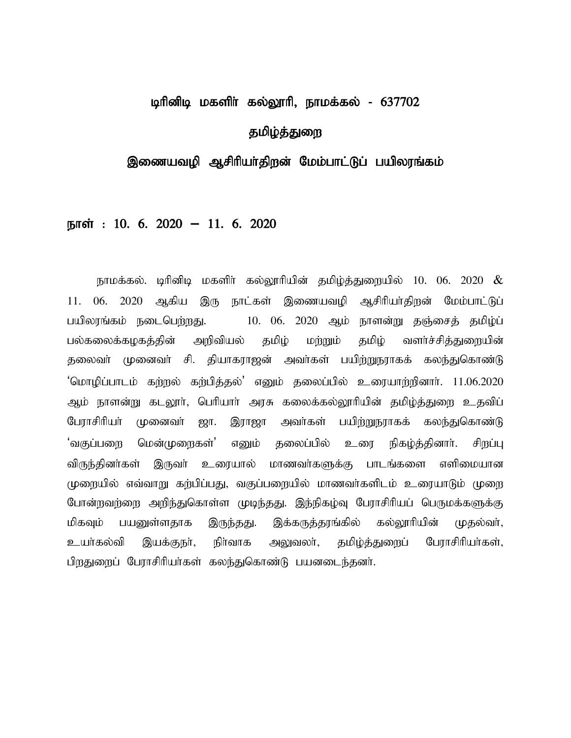## $\mu$ ரினிடி மகளிா் கல்லூரி, நாமக்கல் - 637702 தமிழ்த்துறை இணையவழி ஆசிரியா்திறன் மேம்பாட்டுப் பயிலரங்கம்

#### ehs; : 10. 6. 2020 **–** 11. 6. 2020

நாமக்கல். டிரினிடி மகளிா் கல்லூரியின் தமிழ்த்துறையில் 10. 06. 2020  $\&$ 11. 06. 2020 ஆகிய இரு நாட்கள் இணையவழி ஆசிரியா்கிறன் மேம்பாட்டுப் பயிலரங்கம் நடைபெற்றது. 10. 06. 2020 ஆம் நாளன்று தஞ்சைத் தமிழ்ப் பல்கலைக்கழகத்தின் அறிவியல் தமிழ் மற்றும் தமிழ் வளர்ச்சித்துறையின் தலைவா் முனைவா் சி. தியாகராஜன் அவா்கள் பயிற்றுநராகக் கலந்துகொண்டு 'மொழிப்பாடம் கற்றல் கற்பித்தல்' எனும் தலைப்பில் உரையாற்றினாா். 11.06.2020 ஆம் நாளன்று கடலூா், பெரியாா் அரசு கலைக்கல்லூரியின் தமிழ்த்துறை உதவிப் பேராசிரியா் முனைவா் ஜா. இராஜா அவா்கள் பயிற்றுநராகக் கலந்துகொண்டு 'வகுப்பறை மென்முறைகள்' எனும் தலைப்பில் உரை நிகழ்த்தினாா். சிறப்பு விருந்தினர்கள் இருவர் உரையால் மாணவர்களுக்கு பாடங்களை எளிமையான முறையில் எவ்வாறு கற்பிப்பது, வகுப்பறையில் மாணவர்களிடம் உரையாடும் முறை போன்றவற்றை அறிந்துகொள்ள முடிந்தது. இந்நிகழ்வு பேராசிரியப் பெருமக்களுக்கு மிகவும் பயனுள்ளதாக இருந்தது. இக்கருத்தரங்கில் கல்லூரியின் முதல்வர், உயா்கல்வி இயக்குநா், நிா்வாக அலுவலா், தமிழ்த்துறைப் பேராசிாியா்கள், பிறதுறைப் பேராசிரியர்கள் கலந்துகொண்டு பயனடைந்தனர்.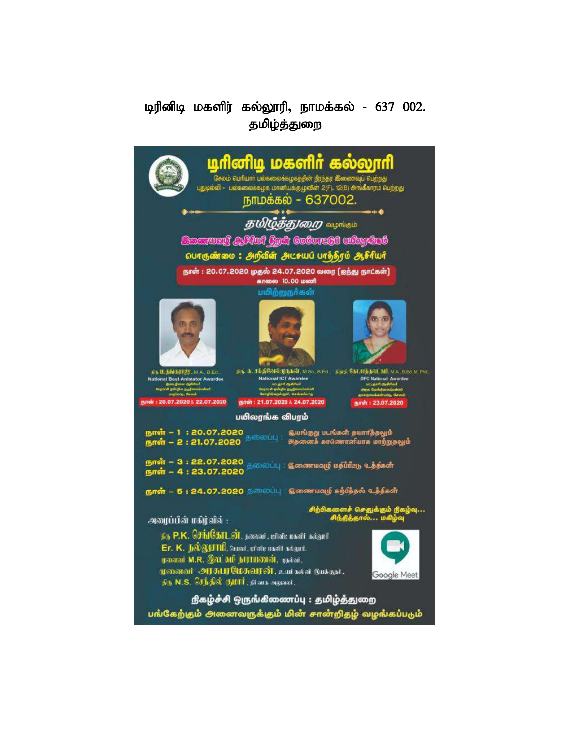#### டிரினிடி மகளிர் கல்லூரி, நாமக்கல் - 637 002. தமிழ்த்துறை

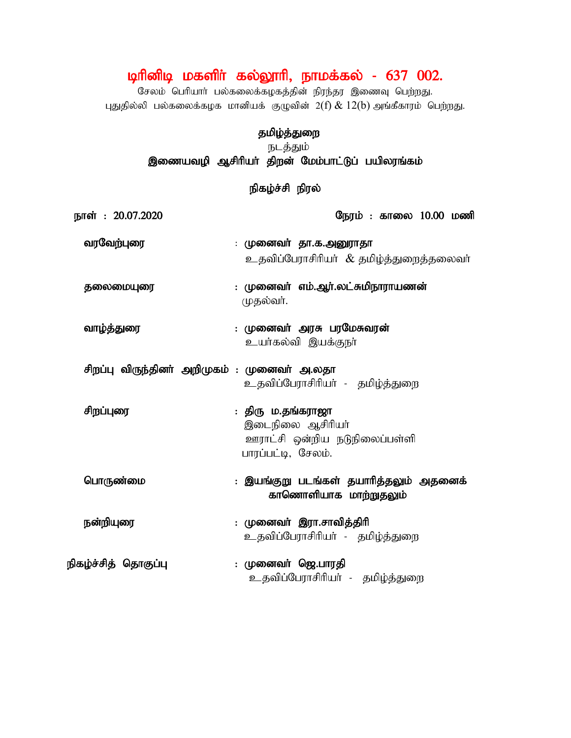சேலம் பெரியார் பல்கலைக்கழகத்தின் நிரந்தர இணைவு பெற்றது. புதுதில்லி பல்கலைக்கழக மானியக் குழுவின்  $2(f) \& 12(b)$  அங்கீகாரம் பெற்றது.

#### தமிழ்த்துறை

நடத்தும்

இணையவழி ஆசிரியர் திறன் மேம்பாட்டுப் பயிலரங்கம்

- நிகழ்ச்சி நிரல்
- ehs; : 20.07.2020 Neuk; : fhiy 10.00 kzp tuNtw;Giu : Kidth; jh.f.mDuhjh உதவிப்பேராசிரியர்  $\&$  தமிழ்த்துறைத்தலைவர் தலைமையுரை : (முனைவர் எம்.ஆர்.லட்சுமிநாராயணன் (முதல்வர். tho;j;Jiu : Kidth; muR guNkRtud; உயர்கல்வி இயக்குநர் சிறப்பு விருந்தினா் அறிமுகம் : முனைவா் அ.லதா உதவிப்பேராசிரியர் - தமிழ்த்துறை rpwg;Giu : jpU k.jq;fuh[h இடைநிலை ஆசிரியர் ஊராட்சி ஒன்றிய நடுநிலைப்பள்ளி பாரப்பட்டி, சேலம். பொருண்மை இயங்குறு படங்கள் தயாாித்தலும் அதனைக் காணொளியாக மாற்றுதலும் ed;wpAiu : Kidth; ,uh.rhtpj;jphp உதவிப்பேராசிரியர் - தமிழ்த்துறை நிகழ்ச்சித் தொகுப்பு : முனைவா் ஜெ.பாரதி உதவிப்பேராசிரியர் - தமிழ்த்துறை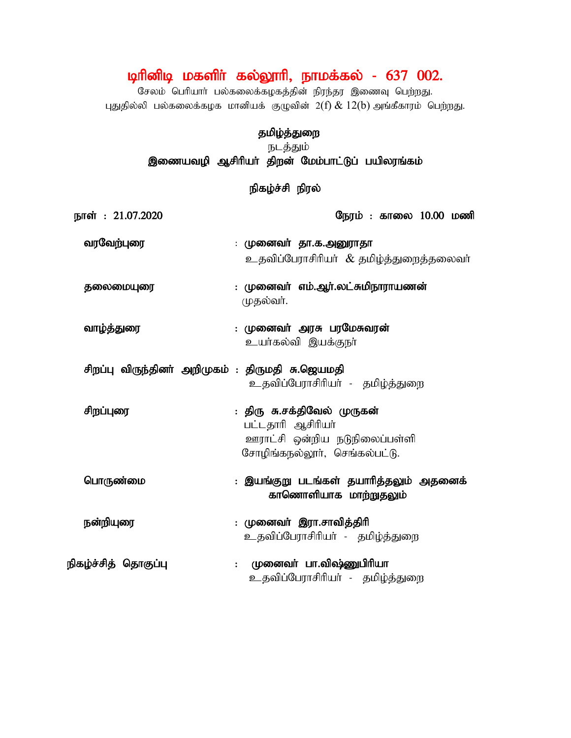சேலம் பெரியார் பல்கலைக்கழகத்தின் நிரந்தர இணைவு பெற்றது. புதுதில்லி பல்கலைக்கழக மானியக் குழுவின்  $2(f) \& 12(b)$  அங்கீகாரம் பெற்றது.

#### தமிழ்த்துறை

நடத்தும்

இணையவழி ஆசிரியர் திறன் மேம்பாட்டுப் பயிலரங்கம்

- நிகழ்ச்சி நிரல்
- ehs; : 21.07.2020 Neuk; : fhiy 10.00 kzp tuNtw;Giu : Kidth; jh.f.mDuhjh உதவிப்பேராசிரியர்  $\&$  தமிழ்த்துறைத்தலைவர் தலைமையுரை : (ழனைவா் எம்.ஆா்.லட்சுமிநாராயணன் (முதல்வர். tho;j;Jiu : Kidth; muR guNkRtud; உயர்கல்வி இயக்குநா் சிறப்பு விருந்தினா் அறிமுகம் : திருமதி சு.ஜெயமதி உதவிப்பேராசிரியர் - தமிழ்த்துறை rpwg;Giu : jpU R.rf;jpNty; KUfd; பட்டதாரி ஆசிரியா் ஊராட்சி ஒன்றிய நடுநிலைப்பள்ளி சோழிங்கநல்லூர், செங்கல்பட்டு. பொருண்மை இயங்குறு படங்கள் தயாரித்தலும் அதனைக் காணொளியாக மாற்றுதலும் ed;wpAiu : Kidth; ,uh.rhtpj;jphp உதவிப்பேராசிரியர் - தமிழ்த்துறை epfo;r;rpj; njhFg;G : Kidth; gh.tp~;Zgphpah உதவிப்பேராசிரியர் - தமிழ்த்துறை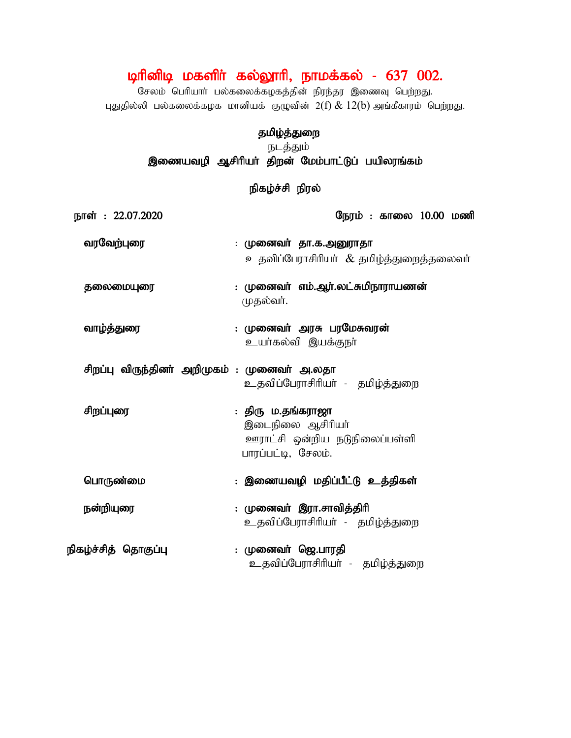சேலம் பெரியார் பல்கலைக்கழகத்தின் நிரந்தர இணைவு பெற்றது. புதுதில்லி பல்கலைக்கழக மானியக் குழுவின்  $2(f) \& 12(b)$  அங்கீகாரம் பெற்றது.

#### தமிழ்த்துறை

நடத்தும்

இணையவழி ஆசிரியா் திறன் மேம்பாட்டுப் பயிலரங்கம்

| நாள் : 22.07.2020                            | நேரம் : காலை 10.00 மணி                                                                       |
|----------------------------------------------|----------------------------------------------------------------------------------------------|
| வரவேற்புரை                                   | : முனைவா் தா.க.அனுராதா<br>உதவிப்பேராசிரியர் $\,\,\&\,\,$ தமிழ்த்துறைத்தலைவர்                 |
| தலைமையுரை                                    | : முனைவா் எம்.ஆா்.லட்சுமிநாராயணன்<br>முதல்வர்.                                               |
| வாழ்த்துரை                                   | : முனைவர் அரசு பரமேசுவரன்<br>உயர்கல்வி இயக்குநர்                                             |
| சிறப்பு விருந்தினா் அறிமுகம் : முனைவா் அ.லதா | உதவிப்பேராசிரியா் - தமிழ்த்துறை                                                              |
| சிறப்புரை                                    | : திரு ம.தங்கராஜா<br>இடைநிலை ஆசிரியா்<br>ஊராட்சி ஒன்றிய நடுநிலைப்பள்ளி<br>பாரப்பட்டி, சேலம். |
| பொருண்மை                                     | : இணையவழி மதிப்பீட்டு உத்திகள்                                                               |
| நன்றியுரை                                    | : முனைவா் இரா.சாவித்திாி<br>உதவிப்பேராசிரியா் - தமிழ்த்துறை                                  |
| நிகழ்ச்சித் தொகுப்பு                         | : முனைவா் ஜெ.பாரதி<br>உதவிப்பேராசிரியா் - தமிழ்த்துறை                                        |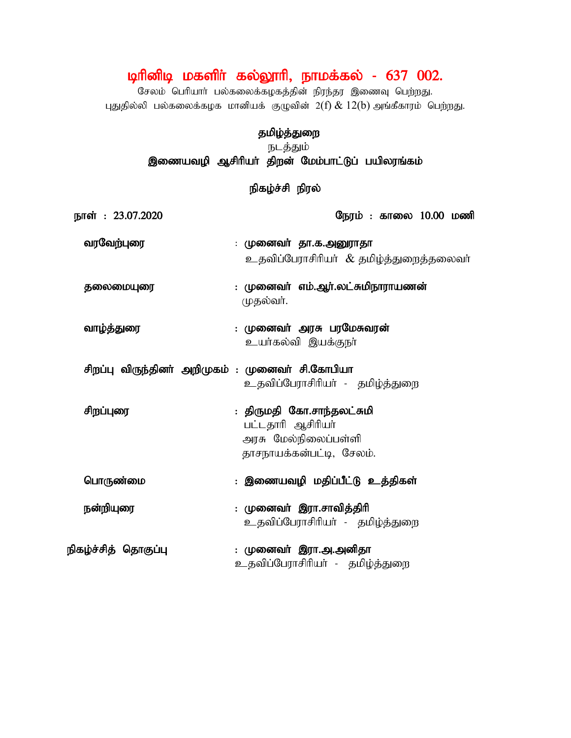சேலம் பெரியார் பல்கலைக்கழகத்தின் நிரந்தர இணைவு பெற்றது. புதுதில்லி பல்கலைக்கழக மானியக் குழுவின்  $2(f) \& 12(b)$  அங்கீகாரம் பெற்றது.

#### தமிழ்த்துறை

நடத்தும்

இணையவழி ஆசிரியா் திறன் மேம்பாட்டுப் பயிலரங்கம்

| நாள் : 23.07.2020                                | நேரம் : காலை 10.00 மணி                                                                             |
|--------------------------------------------------|----------------------------------------------------------------------------------------------------|
| வரவேற்புரை                                       | : முனைவா் தா.க.அனுராதா<br>உதவிப்பேராசிரியர் $\,\,\&\,\,$ தமிழ்த்துறைத்தலைவர்                       |
| தலைமையுரை                                        | : முனைவா் எம்.ஆா்.லட்சுமிநாராயணன்<br>முதல்வர்.                                                     |
| வாழ்த்துரை                                       | : முனைவர் அரசு பரமேசுவரன்<br>உயர்கல்வி இயக்குநர்                                                   |
| சிறப்பு விருந்தினா் அறிமுகம் : முனைவா் சி.கோபியா | உதவிப்பேராசிரியர் - தமிழ்த்துறை                                                                    |
| சிறப்புரை                                        | : திருமதி கோ.சாந்தலட்சுமி<br>பட்டதாரி ஆசிரியர்<br>அரசு மேல்நிலைப்பள்ளி<br>தாசநாயக்கன்பட்டி, சேலம். |
| பொருண்மை                                         | : இணையவழி மதிப்பீட்டு உத்திகள்                                                                     |
| நன்றியுரை                                        | : முனைவா் இரா.சாவித்திாி<br>உதவிப்பேராசிரியர் - தமிழ்த்துறை                                        |
| நிகழ்ச்சித் தொகுப்பு                             | : முனைவா் இரா.அ.அனிதா<br>உதவிப்பேராசிரியர் - தமிழ்த்துறை                                           |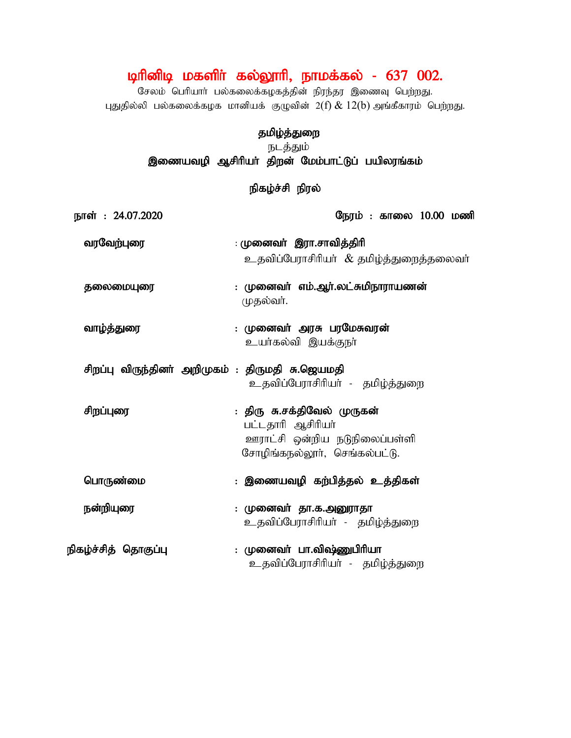சேலம் பெரியார் பல்கலைக்கழகத்தின் நிரந்தர இணைவு பெற்றது. புதுதில்லி பல்கலைக்கழக மானியக் குழுவின்  $2(f) \& 12(b)$  அங்கீகாரம் பெற்றது.

#### தமிழ்த்துறை

நடத்தும்

இணையவழி ஆசிரியா் திறன் மேம்பாட்டுப் பயிலரங்கம்

| நாள் : 24.07.2020                                | நேரம் : காலை 10.00 மணி                                                                                             |
|--------------------------------------------------|--------------------------------------------------------------------------------------------------------------------|
| வரவேற்புரை                                       | : முனைவா்   இரா.சாவித்திாி<br>உதவிப்பேராசிரியர் $\,\&\,$ தமிழ்த்துறைத்தலைவர்                                       |
| தலைமையுரை                                        | : முனைவா் எம்.ஆா்.லட்சுமிநாராயணன்<br>முதல்வர்.                                                                     |
| வாழ்த்துரை                                       | : முனைவர் அரசு பரமேசுவரன்<br>உயர்கல்வி இயக்குநர்                                                                   |
| சிறப்பு விருந்தினா் அறிமுகம் : திருமதி சு.ஜெயமதி | உதவிப்பேராசிரியர் - தமிழ்த்துறை                                                                                    |
| சிறப்புரை                                        | : திரு சு.சக்திவேல் முருகன்<br>பட்டதாரி ஆசிரியர்<br>ஊராட்சி ஒன்றிய நடுநிலைப்பள்ளி<br>சோழிங்கநல்லூா், செங்கல்பட்டு. |
| பொருண்மை                                         | : இணையவழி கற்பித்தல் உத்திகள்                                                                                      |
| நன்றியுரை                                        | : முனைவா் தா.க.அனுராதா<br>உதவிப்பேராசிரியர் - தமிழ்த்துறை                                                          |
| நிகழ்ச்சித் தொகுப்பு                             | : முனைவா் பா.விஷ்ணுபிாியா<br>உதவிப்பேராசிரியா் - தமிழ்த்துறை                                                       |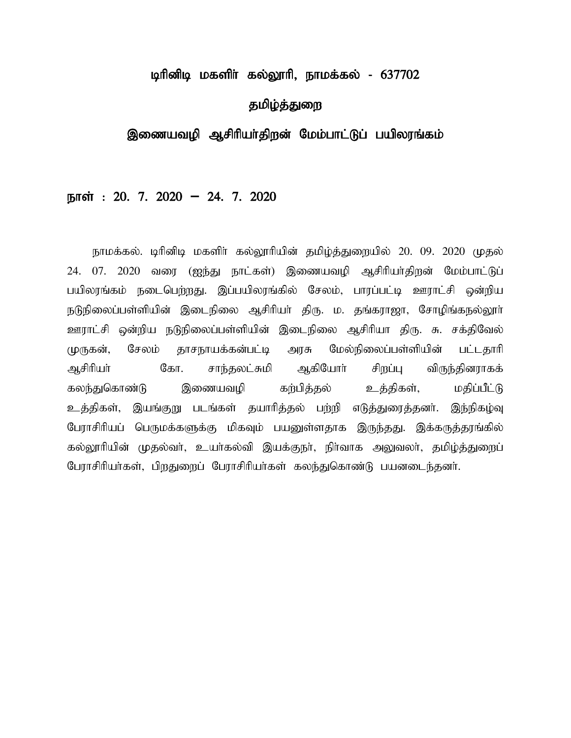## $\mu$ ரினிடி மகளிர் கல்லூரி, நாமக்கல் - 637702 தமிழ்த்துறை இணையவழி ஆசிரியா்திறன் மேம்பாட்டுப் பயிலரங்கம்

#### ehs; : 20. 7. 2020 **–** 24. 7. 2020

நாமக்கல். டிரினிடி மகளிர் கல்லூரியின் தமிழ்த்துறையில் 20. 09. 2020 முதல் 24. 07. 2020 வரை (ஐந்து நாட்கள்) இணையவழி ஆசிரியர்திறன் மேம்பாட்டுப் பயிலரங்கம் நடைபெற்றது. இப்பயிலரங்கில் சேலம், பாரப்பட்டி ஊராட்சி ஒன்றிய நடுநிலைப்பள்ளியின் இடைநிலை ஆசிரியர் திரு. ம. தங்கராஜா, சோழிங்கநல்லூர் ஊராட்சி ஒன்றிய நடுநிலைப்பள்ளியின் இடைநிலை ஆசிரியா திரு. சு. சக்திவேல் முருகன், சேலம் தாசநாயக்கன்பட்டி அரசு மேல்நிலைப்பள்ளியின் பட்டதாரி Mrphpah; Nfh. rhe;jyl;Rkp MfpNahh; rpwg;G tpUe;jpduhff; கலந்துகொண்டு இணையவழி கற்பித்தல் உத்திகள், மதிப்பீட்டு உத்திகள், இயங்குறு படங்கள் தயாரித்தல் பற்றி எடுத்துரைத்தனர். இந்நிகழ்வு பேராசிரியப் பெருமக்களுக்கு மிகவும் பயனுள்ளதாக இருந்தது. இக்கருத்தரங்கில் கல்லூரியின் முதல்வர், உயர்கல்வி இயக்குநர், நிர்வாக அலுவலர், தமிழ்த்துரைப் பேராசிரியர்கள், பிறதுறைப் பேராசிரியர்கள் கலந்துகொண்டு பயனடைந்தனர்.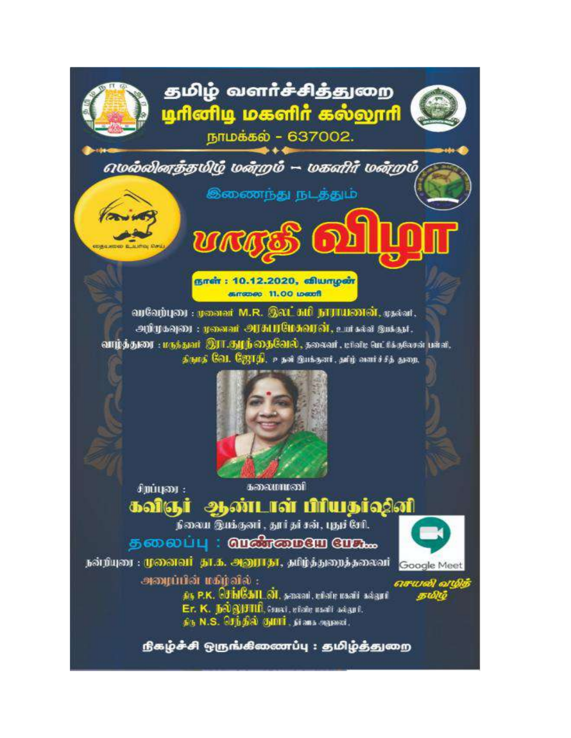

தமிழ் வளர்ச்சித்துறை டிரினிடி மகளிர் கல்லூரி



நாமக்கல் - 637002.

எமல்லினத்தமிழ் மன்றம் -- மகளிர் மன்றம்

இணைந்து நடத்தும்



நாள் : 10.12.2020, வியாழன் **&rraped** 11.00 usanft

வரவேற்புரை : முனைவர் M.R. இலட்சுமி நாராயணன், முதலை, அரிரகவுடை மனைவர் அரசுபரமேசுவரன், உயர்கல் இயக்குர். வாழ்த்துரை : மருத்துவர் இரா.குழந்தைவேல், தனைவர், டீர்வீடி மெரிக்குலேசன் பள்ளி, திஙூதி வே. ஜோதி, உதவி இமக்கனர், தமிழ் வளர்ச்சித் துறை,



கலையாளி சிரப்புடை: கவிஞர் ஆண்டாள் பிரியதர்ஷினி நிலைய இயக்குனர் , தூர் தர் சன், புதுச் சேரி. தலைப்பு : ஹண்ணூளு முகூ நன்றியுரை : முனைவர் -நா.க. அனுராதா, தமிழ்த்துறைத்தலைவர் Google Meet அமைப்பின் மகியவில் : йь Р.К. о́ЛЫбЫІ ӘІ, ьпамі, сіме кыйі вадкі Er. K. had ald HIL count, riske useft adapt. நிநி N.S. ரெந்தில் நுமார். நாளக அலுவன்,

நிகழ்ச்சி ஒருங்கிணைப்பு : தமிழ்த்துறை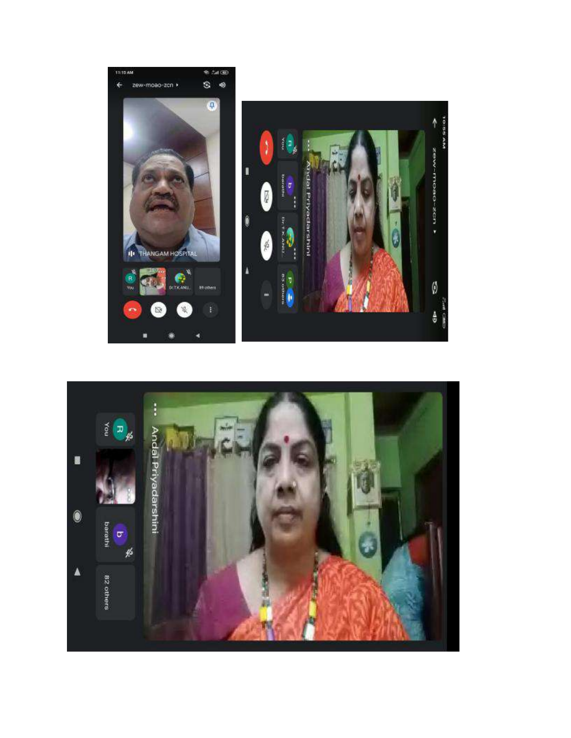